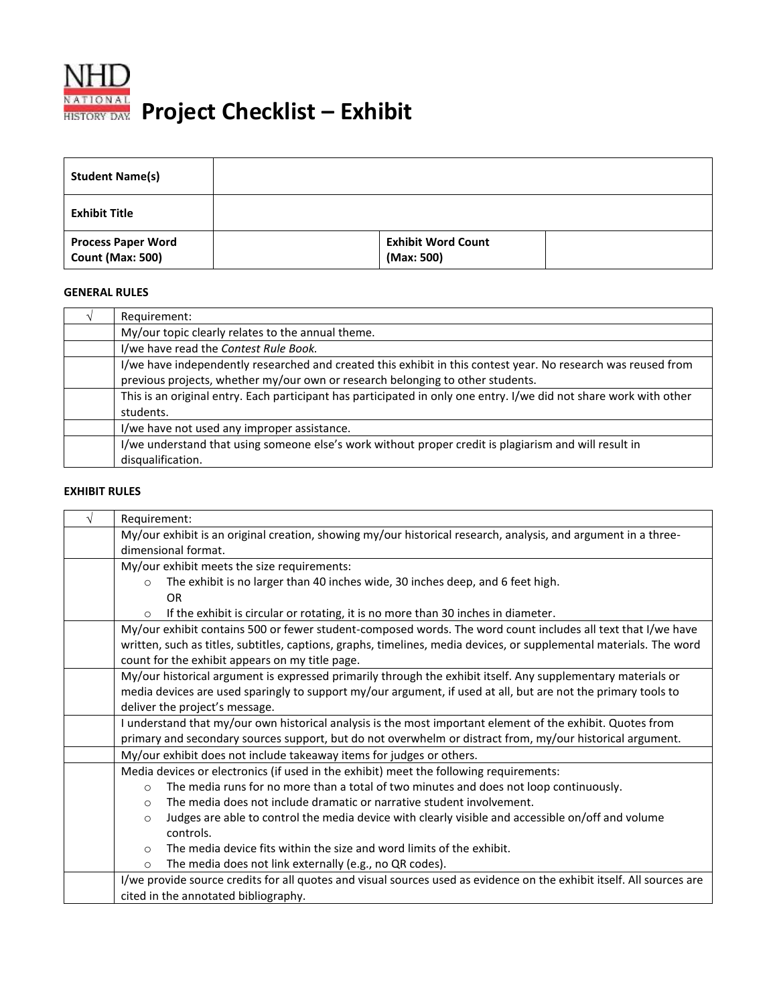

**RATIONAL Project Checklist – Exhibit** 

| <b>Student Name(s)</b>                               |                                         |  |
|------------------------------------------------------|-----------------------------------------|--|
| <b>Exhibit Title</b>                                 |                                         |  |
| <b>Process Paper Word</b><br><b>Count (Max: 500)</b> | <b>Exhibit Word Count</b><br>(Max: 500) |  |

## **GENERAL RULES**

| Requirement:                                                                                                       |
|--------------------------------------------------------------------------------------------------------------------|
| My/our topic clearly relates to the annual theme.                                                                  |
| I/we have read the Contest Rule Book.                                                                              |
| I/we have independently researched and created this exhibit in this contest year. No research was reused from      |
| previous projects, whether my/our own or research belonging to other students.                                     |
| This is an original entry. Each participant has participated in only one entry. I/we did not share work with other |
| students.                                                                                                          |
| I/we have not used any improper assistance.                                                                        |
| I/we understand that using someone else's work without proper credit is plagiarism and will result in              |
| disqualification.                                                                                                  |

## **EXHIBIT RULES**

| Requirement:                                                                                                          |  |  |
|-----------------------------------------------------------------------------------------------------------------------|--|--|
| My/our exhibit is an original creation, showing my/our historical research, analysis, and argument in a three-        |  |  |
| dimensional format.                                                                                                   |  |  |
| My/our exhibit meets the size requirements:                                                                           |  |  |
| The exhibit is no larger than 40 inches wide, 30 inches deep, and 6 feet high.<br>$\circ$                             |  |  |
| OR.                                                                                                                   |  |  |
| If the exhibit is circular or rotating, it is no more than 30 inches in diameter.<br>$\circ$                          |  |  |
| My/our exhibit contains 500 or fewer student-composed words. The word count includes all text that I/we have          |  |  |
| written, such as titles, subtitles, captions, graphs, timelines, media devices, or supplemental materials. The word   |  |  |
| count for the exhibit appears on my title page.                                                                       |  |  |
| My/our historical argument is expressed primarily through the exhibit itself. Any supplementary materials or          |  |  |
| media devices are used sparingly to support my/our argument, if used at all, but are not the primary tools to         |  |  |
| deliver the project's message.                                                                                        |  |  |
| I understand that my/our own historical analysis is the most important element of the exhibit. Quotes from            |  |  |
| primary and secondary sources support, but do not overwhelm or distract from, my/our historical argument.             |  |  |
| My/our exhibit does not include takeaway items for judges or others.                                                  |  |  |
| Media devices or electronics (if used in the exhibit) meet the following requirements:                                |  |  |
| The media runs for no more than a total of two minutes and does not loop continuously.<br>$\Omega$                    |  |  |
| The media does not include dramatic or narrative student involvement.<br>$\circ$                                      |  |  |
| Judges are able to control the media device with clearly visible and accessible on/off and volume<br>$\circ$          |  |  |
| controls.                                                                                                             |  |  |
| The media device fits within the size and word limits of the exhibit.<br>$\circ$                                      |  |  |
| The media does not link externally (e.g., no QR codes).<br>$\Omega$                                                   |  |  |
| I/we provide source credits for all quotes and visual sources used as evidence on the exhibit itself. All sources are |  |  |
| cited in the annotated bibliography.                                                                                  |  |  |